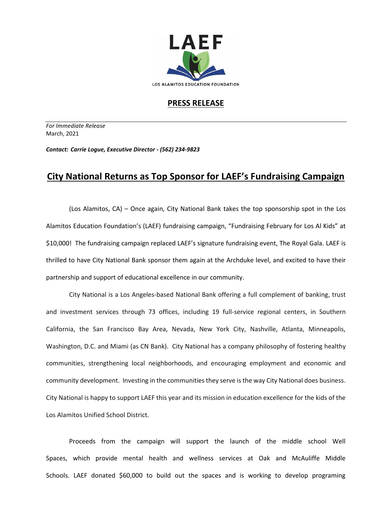

## **PRESS RELEASE**

*For Immediate Release*  March, 2021

*Contact: Carrie Logue, Executive Director - (562) 234-9823*

## **City National Returns as Top Sponsor for LAEF's Fundraising Campaign**

(Los Alamitos, CA) – Once again, City National Bank takes the top sponsorship spot in the Los Alamitos Education Foundation's (LAEF) fundraising campaign, "Fundraising February for Los Al Kids" at \$10,000! The fundraising campaign replaced LAEF's signature fundraising event, The Royal Gala. LAEF is thrilled to have City National Bank sponsor them again at the Archduke level, and excited to have their partnership and support of educational excellence in our community.

City National is a Los Angeles-based National Bank offering a full complement of banking, trust and investment services through 73 offices, including 19 full-service regional centers, in Southern California, the San Francisco Bay Area, Nevada, New York City, Nashville, Atlanta, Minneapolis, Washington, D.C. and Miami (as CN Bank). City National has a company philosophy of fostering healthy communities, strengthening local neighborhoods, and encouraging employment and economic and community development. Investing in the communities they serve is the way City National does business. City National is happy to support LAEF this year and its mission in education excellence for the kids of the Los Alamitos Unified School District.

Proceeds from the campaign will support the launch of the middle school Well Spaces, which provide mental health and wellness services at Oak and McAuliffe Middle Schools. LAEF donated \$60,000 to build out the spaces and is working to develop programing